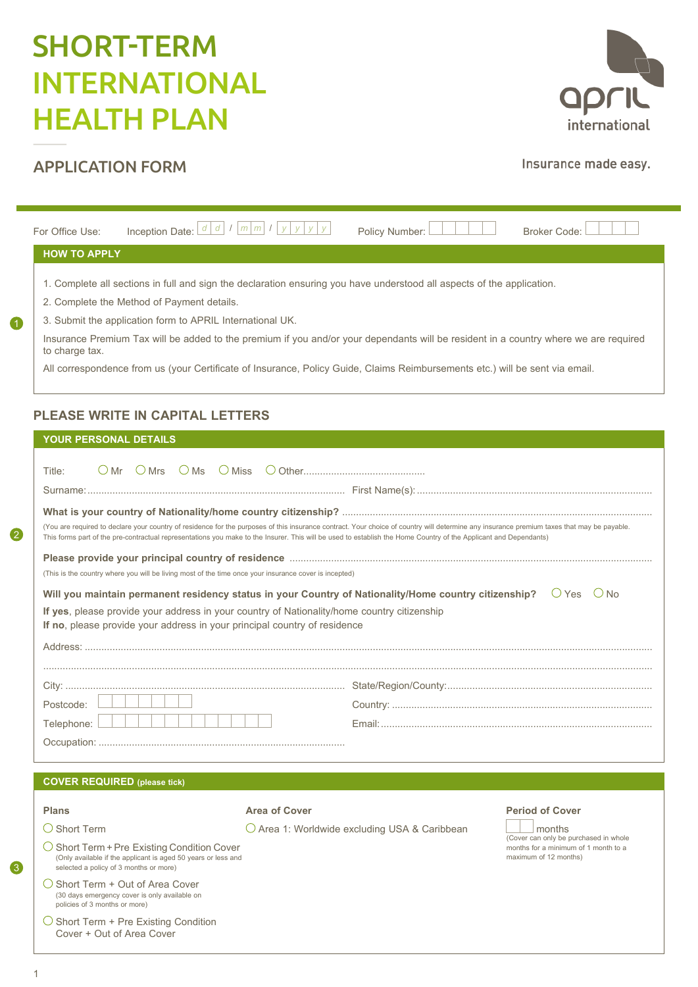# SHORT-TERM INTERNATIONAL HEALTH PLAN



# APPLICATION FORM

# Insurance made easy.

(Cover can only be purchased in whole months for a minimum of 1 month to a

maximum of 12 months)

| For Office Use:                                                                                                                                                                                                                   | Inception Date: L                                                                                                            | d d I m m I y | Policy Number: |  | Broker Code:                                                                                                                         |  |  |  |
|-----------------------------------------------------------------------------------------------------------------------------------------------------------------------------------------------------------------------------------|------------------------------------------------------------------------------------------------------------------------------|---------------|----------------|--|--------------------------------------------------------------------------------------------------------------------------------------|--|--|--|
| <b>HOW TO APPLY</b>                                                                                                                                                                                                               |                                                                                                                              |               |                |  |                                                                                                                                      |  |  |  |
| 1. Complete all sections in full and sign the declaration ensuring you have understood all aspects of the application.<br>2. Complete the Method of Payment details.<br>3. Submit the application form to APRIL International UK. |                                                                                                                              |               |                |  |                                                                                                                                      |  |  |  |
| to charge tax.                                                                                                                                                                                                                    |                                                                                                                              |               |                |  | Insurance Premium Tax will be added to the premium if you and/or your dependants will be resident in a country where we are required |  |  |  |
|                                                                                                                                                                                                                                   | All correspondence from us (your Certificate of Insurance, Policy Guide, Claims Reimbursements etc.) will be sent via email. |               |                |  |                                                                                                                                      |  |  |  |

# **PLEASE WRITE IN CAPITAL LETTERS**

|  |  | <b>YOUR PERSONAL DETAILS</b> |  |  |  |  |  |  |
|--|--|------------------------------|--|--|--|--|--|--|
|  |  |                              |  |  |  |  |  |  |

1

2

| Title:                                                                                                                                                                                                                                                                                                                                                         |              |  |  |  |  |  |  |  |
|----------------------------------------------------------------------------------------------------------------------------------------------------------------------------------------------------------------------------------------------------------------------------------------------------------------------------------------------------------------|--------------|--|--|--|--|--|--|--|
|                                                                                                                                                                                                                                                                                                                                                                |              |  |  |  |  |  |  |  |
| (You are required to declare your country of residence for the purposes of this insurance contract. Your choice of country will determine any insurance premium taxes that may be payable.<br>This forms part of the pre-contractual representations you make to the Insurer. This will be used to establish the Home Country of the Applicant and Dependants) |              |  |  |  |  |  |  |  |
| Please provide your principal country of residence manufactured contract and contained a provide your principal<br>(This is the country where you will be living most of the time once your insurance cover is incepted)                                                                                                                                       |              |  |  |  |  |  |  |  |
| Will you maintain permanent residency status in your Country of Nationality/Home country citizenship?                                                                                                                                                                                                                                                          | $OYes$ $ONo$ |  |  |  |  |  |  |  |
| If yes, please provide your address in your country of Nationality/home country citizenship<br>If no, please provide your address in your principal country of residence                                                                                                                                                                                       |              |  |  |  |  |  |  |  |
|                                                                                                                                                                                                                                                                                                                                                                |              |  |  |  |  |  |  |  |
|                                                                                                                                                                                                                                                                                                                                                                |              |  |  |  |  |  |  |  |
|                                                                                                                                                                                                                                                                                                                                                                |              |  |  |  |  |  |  |  |
| Postcode:                                                                                                                                                                                                                                                                                                                                                      |              |  |  |  |  |  |  |  |
| Telephone:                                                                                                                                                                                                                                                                                                                                                     |              |  |  |  |  |  |  |  |
|                                                                                                                                                                                                                                                                                                                                                                |              |  |  |  |  |  |  |  |

### **COVER REQUIRED (please tick)**

#### **Plans Plans Plans Period of Cover Period of Cover Period of Cover**

- $\bigcirc$  Short Term  $\bigcirc$  Area 1: Worldwide excluding USA & Caribbean months
- $\bigcirc$  Short Term + Pre Existing Condition Cover (Only available if the applicant is aged 50 years or less and selected a policy of 3 months or more)
- $\bigcirc$  Short Term + Out of Area Cover (30 days emergency cover is only available on policies of 3 months or more)
- $\bigcirc$  Short Term + Pre Existing Condition Cover + Out of Area Cover
	-

3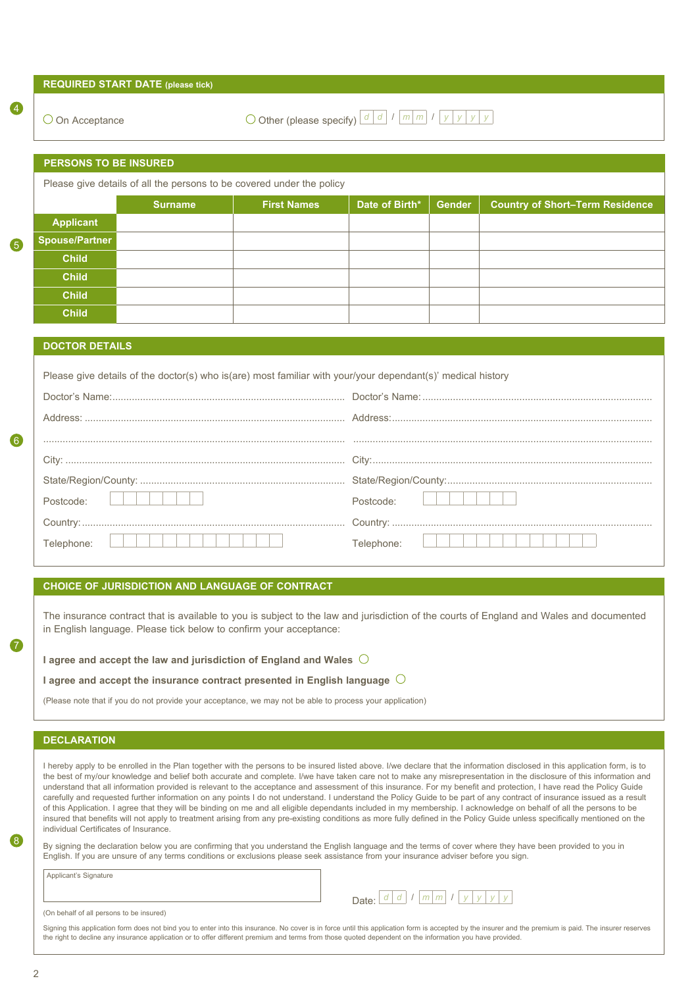| $\bigcirc$ On Acceptance     |                                                                                                                                                                           | O Other (please specify) $\lfloor d \rfloor d \lfloor l \lfloor m \rfloor m \rfloor l$ $\lfloor y \rfloor y \lfloor y \rfloor y$ |                |        |                                                                                                                                                                                                                                                                                                                                                     |
|------------------------------|---------------------------------------------------------------------------------------------------------------------------------------------------------------------------|----------------------------------------------------------------------------------------------------------------------------------|----------------|--------|-----------------------------------------------------------------------------------------------------------------------------------------------------------------------------------------------------------------------------------------------------------------------------------------------------------------------------------------------------|
|                              |                                                                                                                                                                           |                                                                                                                                  |                |        |                                                                                                                                                                                                                                                                                                                                                     |
| <b>PERSONS TO BE INSURED</b> |                                                                                                                                                                           |                                                                                                                                  |                |        |                                                                                                                                                                                                                                                                                                                                                     |
|                              |                                                                                                                                                                           | Please give details of all the persons to be covered under the policy                                                            |                |        |                                                                                                                                                                                                                                                                                                                                                     |
|                              | <b>Surname</b>                                                                                                                                                            | <b>First Names</b>                                                                                                               | Date of Birth* | Gender | <b>Country of Short-Term Residence</b>                                                                                                                                                                                                                                                                                                              |
| <b>Applicant</b>             |                                                                                                                                                                           |                                                                                                                                  |                |        |                                                                                                                                                                                                                                                                                                                                                     |
| <b>Spouse/Partner</b>        |                                                                                                                                                                           |                                                                                                                                  |                |        |                                                                                                                                                                                                                                                                                                                                                     |
| <b>Child</b>                 |                                                                                                                                                                           |                                                                                                                                  |                |        |                                                                                                                                                                                                                                                                                                                                                     |
| <b>Child</b>                 |                                                                                                                                                                           |                                                                                                                                  |                |        |                                                                                                                                                                                                                                                                                                                                                     |
| <b>Child</b>                 |                                                                                                                                                                           |                                                                                                                                  |                |        |                                                                                                                                                                                                                                                                                                                                                     |
| <b>Child</b>                 |                                                                                                                                                                           |                                                                                                                                  |                |        |                                                                                                                                                                                                                                                                                                                                                     |
| <b>DOCTOR DETAILS</b>        |                                                                                                                                                                           |                                                                                                                                  |                |        |                                                                                                                                                                                                                                                                                                                                                     |
|                              |                                                                                                                                                                           |                                                                                                                                  |                |        |                                                                                                                                                                                                                                                                                                                                                     |
|                              |                                                                                                                                                                           | Please give details of the doctor(s) who is(are) most familiar with your/your dependant(s)' medical history                      |                |        |                                                                                                                                                                                                                                                                                                                                                     |
|                              |                                                                                                                                                                           |                                                                                                                                  |                |        |                                                                                                                                                                                                                                                                                                                                                     |
|                              |                                                                                                                                                                           |                                                                                                                                  |                |        |                                                                                                                                                                                                                                                                                                                                                     |
|                              |                                                                                                                                                                           |                                                                                                                                  |                |        |                                                                                                                                                                                                                                                                                                                                                     |
|                              |                                                                                                                                                                           |                                                                                                                                  |                |        |                                                                                                                                                                                                                                                                                                                                                     |
|                              |                                                                                                                                                                           |                                                                                                                                  |                |        |                                                                                                                                                                                                                                                                                                                                                     |
| Postcode:                    |                                                                                                                                                                           |                                                                                                                                  | Postcode:      |        |                                                                                                                                                                                                                                                                                                                                                     |
|                              |                                                                                                                                                                           |                                                                                                                                  |                |        |                                                                                                                                                                                                                                                                                                                                                     |
| Telephone:                   |                                                                                                                                                                           |                                                                                                                                  | Telephone:     |        |                                                                                                                                                                                                                                                                                                                                                     |
|                              |                                                                                                                                                                           |                                                                                                                                  |                |        |                                                                                                                                                                                                                                                                                                                                                     |
|                              |                                                                                                                                                                           | CHOICE OF JURISDICTION AND LANGUAGE OF CONTRACT                                                                                  |                |        |                                                                                                                                                                                                                                                                                                                                                     |
|                              |                                                                                                                                                                           |                                                                                                                                  |                |        |                                                                                                                                                                                                                                                                                                                                                     |
|                              |                                                                                                                                                                           |                                                                                                                                  |                |        | The insurance contract that is available to you is subject to the law and jurisdiction of the courts of England and Wales and documented                                                                                                                                                                                                            |
|                              |                                                                                                                                                                           | in English language. Please tick below to confirm your acceptance:                                                               |                |        |                                                                                                                                                                                                                                                                                                                                                     |
|                              |                                                                                                                                                                           | I agree and accept the law and jurisdiction of England and Wales $\bigcirc$                                                      |                |        |                                                                                                                                                                                                                                                                                                                                                     |
|                              |                                                                                                                                                                           | I agree and accept the insurance contract presented in English language $\bigcirc$                                               |                |        |                                                                                                                                                                                                                                                                                                                                                     |
|                              |                                                                                                                                                                           | (Please note that if you do not provide your acceptance, we may not be able to process your application)                         |                |        |                                                                                                                                                                                                                                                                                                                                                     |
|                              |                                                                                                                                                                           |                                                                                                                                  |                |        |                                                                                                                                                                                                                                                                                                                                                     |
| <b>DECLARATION</b>           |                                                                                                                                                                           |                                                                                                                                  |                |        |                                                                                                                                                                                                                                                                                                                                                     |
|                              |                                                                                                                                                                           |                                                                                                                                  |                |        |                                                                                                                                                                                                                                                                                                                                                     |
|                              |                                                                                                                                                                           |                                                                                                                                  |                |        | I hereby apply to be enrolled in the Plan together with the persons to be insured listed above. I/we declare that the information disclosed in this application form, is to<br>the best of my/our knowledge and belief both accurate and complete. I/we have taken care not to make any misrepresentation in the disclosure of this information and |
|                              |                                                                                                                                                                           |                                                                                                                                  |                |        | understand that all information provided is relevant to the acceptance and assessment of this insurance. For my benefit and protection, I have read the Policy Guide<br>carefully and requested further information on any points I do not understand. I understand the Policy Guide to be part of any contract of insurance issued as a result     |
|                              | insured that benefits will not apply to treatment arising from any pre-existing conditions as more fully defined in the Policy Guide unless specifically mentioned on the |                                                                                                                                  |                |        | of this Application. I agree that they will be binding on me and all eligible dependants included in my membership. I acknowledge on behalf of all the persons to be                                                                                                                                                                                |

By signing the declaration below you are confirming that you understand the English language and the terms of cover where they have been provided to you in English. If you are unsure of any terms conditions or exclusions please seek assistance from your insurance adviser before you sign.

Applicant's Signature

(On behalf of all persons to be insured)

Signing this application form does not bind you to enter into this insurance. No cover is in force until this application form is accepted by the insurer and the premium is paid. The insurer reserves the right to decline any insurance application or to offer different premium and terms from those quoted dependent on the information you have provided.

Date: *<sup>d</sup> <sup>d</sup>* / *<sup>m</sup> <sup>m</sup>* / *<sup>y</sup> <sup>y</sup> <sup>y</sup> <sup>y</sup>*

8

7

6

5

4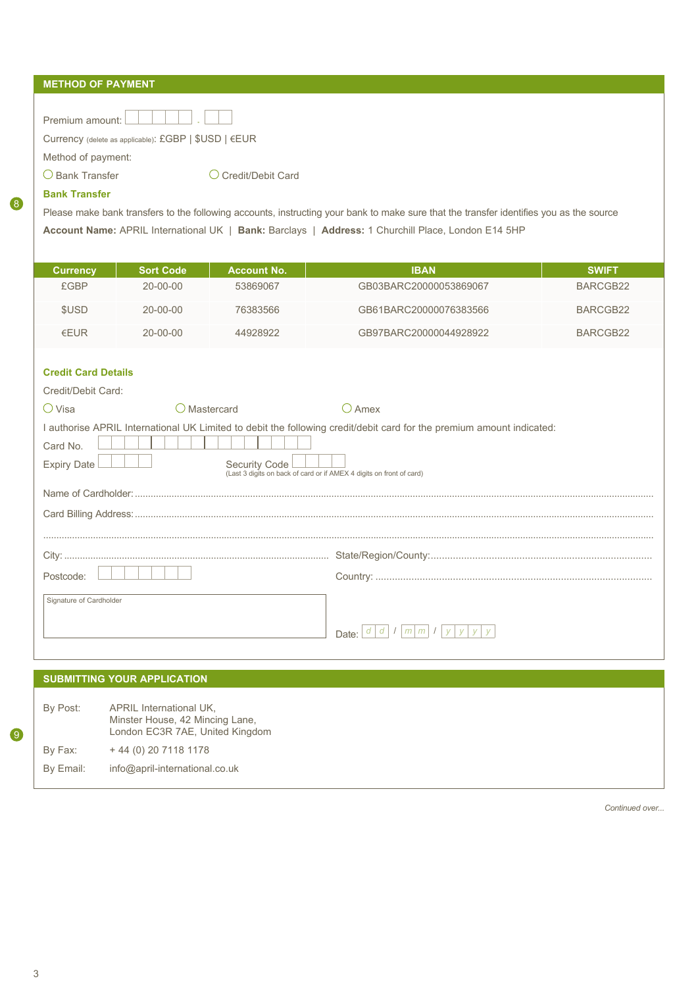| <b>METHOD OF PAYMENT</b> |  |  |
|--------------------------|--|--|
|                          |  |  |

| Premium amount:                                      |  |
|------------------------------------------------------|--|
| Currency (delete as applicable): £GBP   \$USD   €EUR |  |
| Method of payment:                                   |  |
|                                                      |  |

O Bank Transfer Card Coredit/Debit Card

# **Bank Transfer**

8

Please make bank transfers to the following accounts, instructing your bank to make sure that the transfer identifies you as the source **Account Name:** APRIL International UK | **Bank:** Barclays | **Address:** 1 Churchill Place, London E14 5HP

| <b>Currency</b> | <b>Sort Code</b> | <b>Account No.</b> | <b>IBAN</b>            | <b>SWIFT</b> |
|-----------------|------------------|--------------------|------------------------|--------------|
| <b>£GBP</b>     | 20-00-00         | 53869067           | GB03BARC20000053869067 | BARCGB22     |
| \$USD           | $20 - 00 - 00$   | 76383566           | GB61BARC20000076383566 | BARCGB22     |
| $F$ UR          | $20 - 00 - 00$   | 44928922           | GB97BARC20000044928922 | BARCGB22     |

# **Credit Card Details**

| Credit/Debit Card:             |                                                                                              |                                                                                                                       |
|--------------------------------|----------------------------------------------------------------------------------------------|-----------------------------------------------------------------------------------------------------------------------|
| $\bigcirc$ Visa                | Mastercard                                                                                   | Amex                                                                                                                  |
| Card No.<br><b>Expiry Date</b> | <b>Security Code</b><br>(Last 3 digits on back of card or if AMEX 4 digits on front of card) | I authorise APRIL International UK Limited to debit the following credit/debit card for the premium amount indicated: |
|                                |                                                                                              |                                                                                                                       |
|                                |                                                                                              |                                                                                                                       |
|                                |                                                                                              |                                                                                                                       |
|                                |                                                                                              |                                                                                                                       |
| Postcode:                      |                                                                                              |                                                                                                                       |
| Signature of Cardholder        |                                                                                              | Date:                                                                                                                 |

|           | <b>SUBMITTING YOUR APPLICATION</b>                                                            |  |  |  |  |  |  |
|-----------|-----------------------------------------------------------------------------------------------|--|--|--|--|--|--|
| By Post:  | APRIL International UK.<br>Minster House, 42 Mincing Lane,<br>London EC3R 7AE, United Kingdom |  |  |  |  |  |  |
| By Fax:   | + 44 (0) 20 7118 1178                                                                         |  |  |  |  |  |  |
| By Email: | info@april-international.co.uk                                                                |  |  |  |  |  |  |

*Continued over...*

9